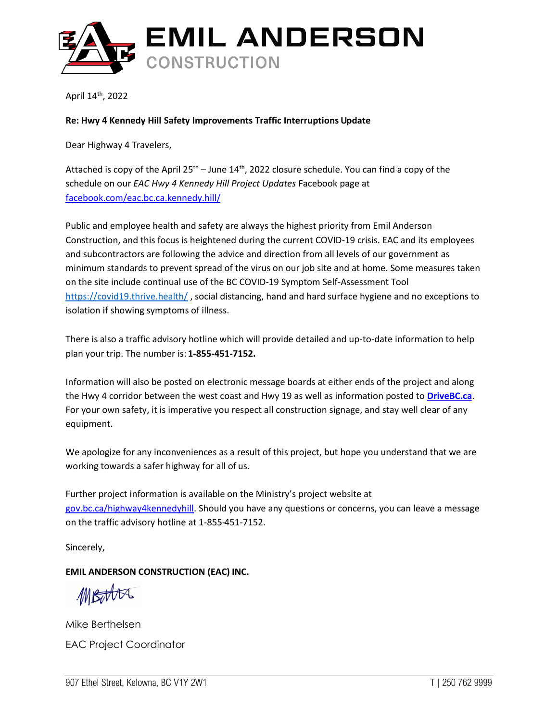

April 14<sup>th</sup>, 2022

## **Re: Hwy 4 Kennedy Hill Safety Improvements Traffic Interruptions Update**

Dear Highway 4 Travelers,

Attached is copy of the April 25<sup>th</sup> – June 14<sup>th</sup>, 2022 closure schedule. You can find a copy of the schedule on our *EAC Hwy 4 Kennedy Hill Project Updates* Facebook page at [facebook.com/eac.bc.ca.kennedy.hill/](http://www.facebook.com/eac.bc.ca.kennedy.hill/)

Public and employee health and safety are always the highest priority from Emil Anderson Construction, and this focus is heightened during the current COVID-19 crisis. EAC and its employees and subcontractors are following the advice and direction from all levels of our government as minimum standards to prevent spread of the virus on our job site and at home. Some measures taken on the site include continual use of the BC COVID-19 Symptom Self-Assessment Tool <https://covid19.thrive.health/> , social distancing, hand and hard surface hygiene and no exceptions to isolation if showing symptoms of illness.

There is also a traffic advisory hotline which will provide detailed and up-to-date information to help plan your trip. The number is: **1-855-451-7152.**

Information will also be posted on electronic message boards at either ends of the project and along the Hwy 4 corridor between the west coast and Hwy 19 as well as information posted to **[DriveBC.ca](http://www.drivebc.ca/)**. For your own safety, it is imperative you respect all construction signage, and stay well clear of any equipment.

We apologize for any inconveniences as a result of this project, but hope you understand that we are working towards a safer highway for all of us.

Further project information is available on the Ministry's project website at gov.bc.ca/highway4kennedyhill. Should you have any questions or concerns, you can leave a message on the traffic advisory hotline at 1-855-451-7152.

Sincerely,

## **EMIL ANDERSON CONSTRUCTION (EAC) INC.**

MBotta

Mike Berthelsen EAC Project Coordinator